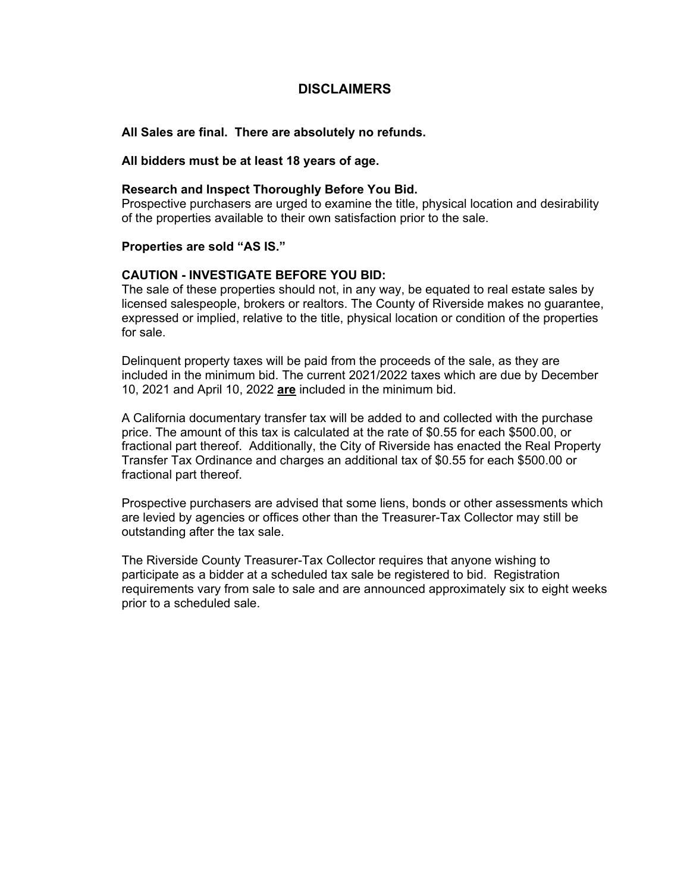# **DISCLAIMERS**

**All Sales are final. There are absolutely no refunds.**

**All bidders must be at least 18 years of age.**

### **Research and Inspect Thoroughly Before You Bid.**

Prospective purchasers are urged to examine the title, physical location and desirability of the properties available to their own satisfaction prior to the sale.

#### **Properties are sold "AS IS."**

## **CAUTION - INVESTIGATE BEFORE YOU BID:**

The sale of these properties should not, in any way, be equated to real estate sales by licensed salespeople, brokers or realtors. The County of Riverside makes no guarantee, expressed or implied, relative to the title, physical location or condition of the properties for sale.

Delinquent property taxes will be paid from the proceeds of the sale, as they are included in the minimum bid. The current 2021/2022 taxes which are due by December 10, 2021 and April 10, 2022 **are** included in the minimum bid.

A California documentary transfer tax will be added to and collected with the purchase price. The amount of this tax is calculated at the rate of \$0.55 for each \$500.00, or fractional part thereof. Additionally, the City of Riverside has enacted the Real Property Transfer Tax Ordinance and charges an additional tax of \$0.55 for each \$500.00 or fractional part thereof.

Prospective purchasers are advised that some liens, bonds or other assessments which are levied by agencies or offices other than the Treasurer-Tax Collector may still be outstanding after the tax sale.

The Riverside County Treasurer-Tax Collector requires that anyone wishing to participate as a bidder at a scheduled tax sale be registered to bid. Registration requirements vary from sale to sale and are announced approximately six to eight weeks prior to a scheduled sale.